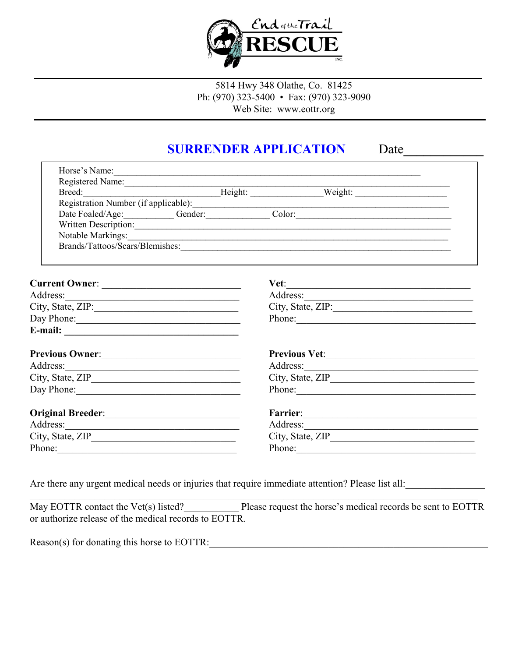

5814 Hwy 348 Olathe, Co. 81425 Ph: (970) 323-5400 • Fax: (970) 323-9090 Web Site: www.eottr.org

# **SURRENDER APPLICATION** Date

|                                      | Horse's Name: 1988. [19] Manual Assembly 2014. [19] Manual Assembly 2014. [19] Manual Assembly 2014. [19] Manual Assembly 2014. [19] Manual Assembly 2014. [19] Manual Assembly 2014. [19] Manual Assembly 2014. [19] Manual A |
|--------------------------------------|--------------------------------------------------------------------------------------------------------------------------------------------------------------------------------------------------------------------------------|
|                                      |                                                                                                                                                                                                                                |
| Registration Number (if applicable): |                                                                                                                                                                                                                                |
|                                      | <u> 2000 - Jan James Barnett, mars et al. (</u><br>Date Foaled/Age: Gender: Color: Color:                                                                                                                                      |
|                                      | Written Description:                                                                                                                                                                                                           |
|                                      |                                                                                                                                                                                                                                |
|                                      | Brands/Tattoos/Scars/Blemishes: 2008. [2016] All and Search and Search and Search and Search and Search and Search and Search and Search and Search and Search and Search and Search and Search and Search and Search and Sear |
|                                      |                                                                                                                                                                                                                                |
| Current Owner:                       |                                                                                                                                                                                                                                |
|                                      |                                                                                                                                                                                                                                |
| City, State, ZIP:                    | City, State, ZIP:                                                                                                                                                                                                              |
|                                      | Phone:                                                                                                                                                                                                                         |
|                                      |                                                                                                                                                                                                                                |
| Previous Owner:                      |                                                                                                                                                                                                                                |
| Address:                             |                                                                                                                                                                                                                                |
|                                      |                                                                                                                                                                                                                                |
| Day Phone: 1988                      | Phone:                                                                                                                                                                                                                         |
| Original Breeder:<br><u> </u>        |                                                                                                                                                                                                                                |
| Address:                             | Address:                                                                                                                                                                                                                       |
|                                      | City, State, ZIP                                                                                                                                                                                                               |
| Phone:                               | Phone:                                                                                                                                                                                                                         |

Are there any urgent medical needs or injuries that require immediate attention? Please list all:

May EOTTR contact the Vet(s) listed?<br>
Please request the horse's medical records be sent to EOTTR or authorize release of the medical records to EOTTR.

 $\mathcal{L}_\mathcal{L} = \mathcal{L}_\mathcal{L} = \mathcal{L}_\mathcal{L} = \mathcal{L}_\mathcal{L} = \mathcal{L}_\mathcal{L} = \mathcal{L}_\mathcal{L} = \mathcal{L}_\mathcal{L} = \mathcal{L}_\mathcal{L} = \mathcal{L}_\mathcal{L} = \mathcal{L}_\mathcal{L} = \mathcal{L}_\mathcal{L} = \mathcal{L}_\mathcal{L} = \mathcal{L}_\mathcal{L} = \mathcal{L}_\mathcal{L} = \mathcal{L}_\mathcal{L} = \mathcal{L}_\mathcal{L} = \mathcal{L}_\mathcal{L}$ 

Reason(s) for donating this horse to EOTTR: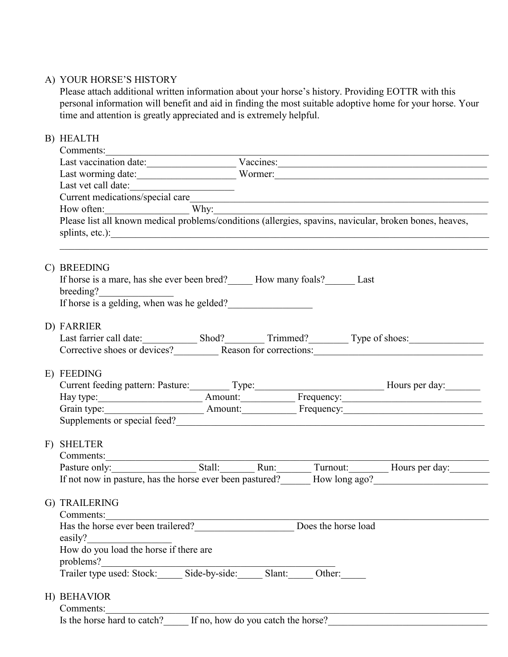#### A) YOUR HORSE'S HISTORY

Please attach additional written information about your horse's history. Providing EOTTR with this personal information will benefit and aid in finding the most suitable adoptive home for your horse. Your time and attention is greatly appreciated and is extremely helpful.

## B) HEALTH

| Comments:<br><u> 1989 - Johann John Stein, markin fizik eta idazlear (</u>                                                                                                                                                            |  |
|---------------------------------------------------------------------------------------------------------------------------------------------------------------------------------------------------------------------------------------|--|
| Last vaccination date: Vaccines: Vaccines: Vaccines: Vaccines: Vaccines: Vaccines: Vaccines: Vaccines: Vaccines: Vaccines: Vaccines: Vaccines: Vaccines: Vaccines: Vaccines: Vaccines: Vaccines: Vaccines: Vaccines: Vaccines:        |  |
| Last worming date:<br>Wormer:                                                                                                                                                                                                         |  |
| Last vet call date:                                                                                                                                                                                                                   |  |
|                                                                                                                                                                                                                                       |  |
|                                                                                                                                                                                                                                       |  |
| Current medications/special care<br>How often: Why: Why: Why: Please list all known medical problems/conditions (allergies, spavins, navicular, broken bones, heaves,                                                                 |  |
|                                                                                                                                                                                                                                       |  |
|                                                                                                                                                                                                                                       |  |
|                                                                                                                                                                                                                                       |  |
| C) BREEDING                                                                                                                                                                                                                           |  |
| If horse is a mare, has she ever been bred? How many foals? Last                                                                                                                                                                      |  |
|                                                                                                                                                                                                                                       |  |
| If horse is a gelding, when was he gelded?                                                                                                                                                                                            |  |
|                                                                                                                                                                                                                                       |  |
| D) FARRIER                                                                                                                                                                                                                            |  |
| Last farrier call date: Shod? Trimmed? Type of shoes:                                                                                                                                                                                 |  |
| Corrective shoes or devices? Reason for corrections:                                                                                                                                                                                  |  |
| E) FEEDING                                                                                                                                                                                                                            |  |
| Current feeding pattern: Pasture: Type: Type: Hours per day:                                                                                                                                                                          |  |
| Hay type: Amount: Frequency: Frequency:                                                                                                                                                                                               |  |
|                                                                                                                                                                                                                                       |  |
| Supplements or special feed?<br><u> and</u> the contract of the contract of the contract of the contract of the contract of the contract of the contract of the contract of the contract of the contract of the contract of the contr |  |
|                                                                                                                                                                                                                                       |  |
| F) SHELTER                                                                                                                                                                                                                            |  |
|                                                                                                                                                                                                                                       |  |
|                                                                                                                                                                                                                                       |  |
| Comments:<br>Pasture only: Stall: Run: Turnout: Hours per day:                                                                                                                                                                        |  |
|                                                                                                                                                                                                                                       |  |
| G) TRAILERING                                                                                                                                                                                                                         |  |
| Comments:                                                                                                                                                                                                                             |  |
| Has the horse ever been trailered? Does the horse load                                                                                                                                                                                |  |
| easily?                                                                                                                                                                                                                               |  |
| easily?<br>How do you load the horse if there are                                                                                                                                                                                     |  |
|                                                                                                                                                                                                                                       |  |
| problems?<br>Trailer type used: Stock:_______ Side-by-side:________ Slant:_______ Other:______                                                                                                                                        |  |
| H) BEHAVIOR                                                                                                                                                                                                                           |  |
| Comments:                                                                                                                                                                                                                             |  |
|                                                                                                                                                                                                                                       |  |